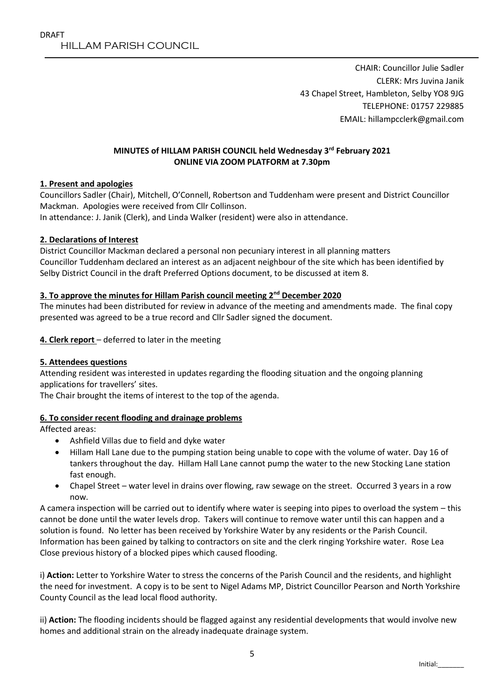CHAIR: Councillor Julie Sadler CLERK: Mrs Juvina Janik 43 Chapel Street, Hambleton, Selby YO8 9JG TELEPHONE: 01757 229885 EMAIL: hillampcclerk@gmail.com

### **MINUTES of HILLAM PARISH COUNCIL held Wednesday 3 rd February 2021 ONLINE VIA ZOOM PLATFORM at 7.30pm**

### **1. Present and apologies**

Councillors Sadler (Chair), Mitchell, O'Connell, Robertson and Tuddenham were present and District Councillor Mackman. Apologies were received from Cllr Collinson.

In attendance: J. Janik (Clerk), and Linda Walker (resident) were also in attendance.

### **2. Declarations of Interest**

District Councillor Mackman declared a personal non pecuniary interest in all planning matters Councillor Tuddenham declared an interest as an adjacent neighbour of the site which has been identified by Selby District Council in the draft Preferred Options document, to be discussed at item 8.

### **3. To approve the minutes for Hillam Parish council meeting 2nd December 2020**

The minutes had been distributed for review in advance of the meeting and amendments made. The final copy presented was agreed to be a true record and Cllr Sadler signed the document.

**4. Clerk report** – deferred to later in the meeting

### **5. Attendees questions**

Attending resident was interested in updates regarding the flooding situation and the ongoing planning applications for travellers' sites.

The Chair brought the items of interest to the top of the agenda.

### **6. To consider recent flooding and drainage problems**

Affected areas:

- Ashfield Villas due to field and dyke water
- Hillam Hall Lane due to the pumping station being unable to cope with the volume of water. Day 16 of tankers throughout the day. Hillam Hall Lane cannot pump the water to the new Stocking Lane station fast enough.
- Chapel Street water level in drains over flowing, raw sewage on the street. Occurred 3 years in a row now.

A camera inspection will be carried out to identify where water is seeping into pipes to overload the system – this cannot be done until the water levels drop. Takers will continue to remove water until this can happen and a solution is found. No letter has been received by Yorkshire Water by any residents or the Parish Council. Information has been gained by talking to contractors on site and the clerk ringing Yorkshire water. Rose Lea Close previous history of a blocked pipes which caused flooding.

i) **Action:** Letter to Yorkshire Water to stress the concerns of the Parish Council and the residents, and highlight the need for investment. A copy is to be sent to Nigel Adams MP, District Councillor Pearson and North Yorkshire County Council as the lead local flood authority.

ii) **Action:** The flooding incidents should be flagged against any residential developments that would involve new homes and additional strain on the already inadequate drainage system.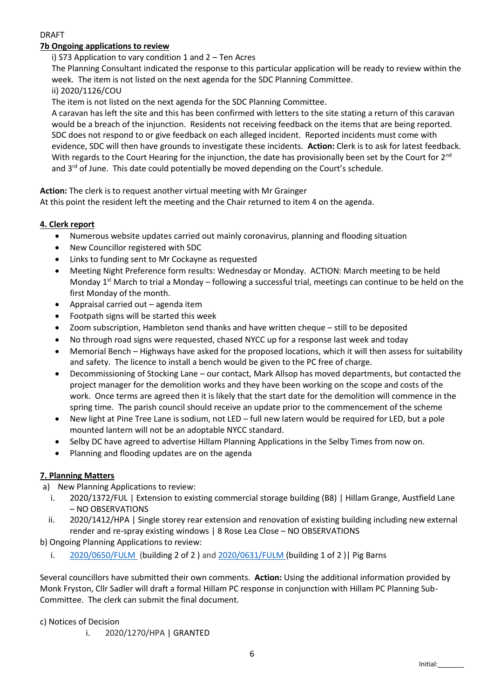### DRAFT

### **7b Ongoing applications to review**

#### i) S73 Application to vary condition 1 and 2 – Ten Acres

The Planning Consultant indicated the response to this particular application will be ready to review within the week. The item is not listed on the next agenda for the SDC Planning Committee.

ii) 2020/1126/COU

The item is not listed on the next agenda for the SDC Planning Committee.

A caravan has left the site and this has been confirmed with letters to the site stating a return of this caravan would be a breach of the injunction. Residents not receiving feedback on the items that are being reported. SDC does not respond to or give feedback on each alleged incident. Reported incidents must come with evidence, SDC will then have grounds to investigate these incidents. **Action:** Clerk is to ask for latest feedback. With regards to the Court Hearing for the injunction, the date has provisionally been set by the Court for 2<sup>nd</sup> and  $3<sup>rd</sup>$  of June. This date could potentially be moved depending on the Court's schedule.

**Action:** The clerk is to request another virtual meeting with Mr Grainger

At this point the resident left the meeting and the Chair returned to item 4 on the agenda.

#### **4. Clerk report**

- Numerous website updates carried out mainly coronavirus, planning and flooding situation
- New Councillor registered with SDC
- Links to funding sent to Mr Cockayne as requested
- Meeting Night Preference form results: Wednesday or Monday. ACTION: March meeting to be held Monday  $1<sup>st</sup>$  March to trial a Monday – following a successful trial, meetings can continue to be held on the first Monday of the month.
- Appraisal carried out agenda item
- Footpath signs will be started this week
- Zoom subscription, Hambleton send thanks and have written cheque still to be deposited
- No through road signs were requested, chased NYCC up for a response last week and today
- Memorial Bench Highways have asked for the proposed locations, which it will then assess for suitability and safety. The licence to install a bench would be given to the PC free of charge.
- Decommissioning of Stocking Lane our contact, Mark Allsop has moved departments, but contacted the project manager for the demolition works and they have been working on the scope and costs of the work. Once terms are agreed then it is likely that the start date for the demolition will commence in the spring time. The parish council should receive an update prior to the commencement of the scheme
- New light at Pine Tree Lane is sodium, not LED full new latern would be required for LED, but a pole mounted lantern will not be an adoptable NYCC standard.
- Selby DC have agreed to advertise Hillam Planning Applications in the Selby Times from now on.
- Planning and flooding updates are on the agenda

### **7. Planning Matters**

- a) New Planning Applications to review:
	- i. 2020/1372/FUL | Extension to existing commercial storage building (B8) | Hillam Grange, Austfield Lane – NO OBSERVATIONS
	- ii. 2020/1412/HPA | Single storey rear extension and renovation of existing building including new external render and re-spray existing windows | 8 Rose Lea Close – NO OBSERVATIONS

b) Ongoing Planning Applications to review:

i. [2020/0650/FULM](https://public.selby.gov.uk/online-applications/applicationDetails.do?keyVal=QCDVYHNXFGV00&activeTab=summary) (building 2 of 2 ) and [2020/0631/FULM](https://public.selby.gov.uk/online-applications/applicationDetails.do?keyVal=QC6H90NXN4U00&activeTab=summary) (building 1 of 2 )| Pig Barns

Several councillors have submitted their own comments. **Action:** Using the additional information provided by Monk Fryston, Cllr Sadler will draft a formal Hillam PC response in conjunction with Hillam PC Planning Sub-Committee. The clerk can submit the final document.

c) Notices of Decision

i. 2020/1270/HPA | GRANTED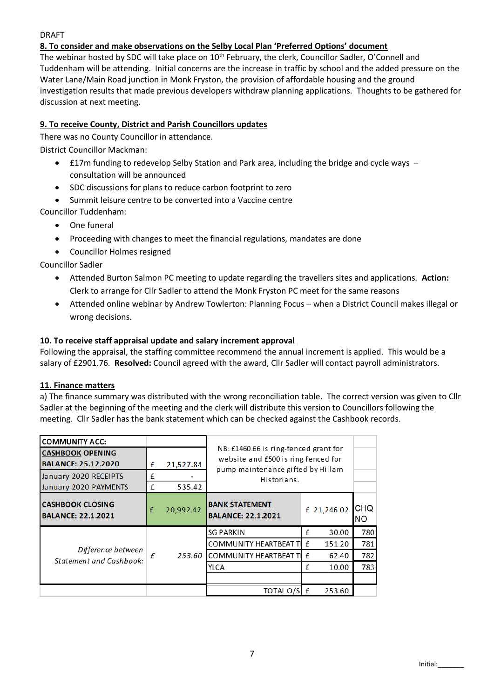#### DRAFT

## **8. To consider and make observations on the Selby Local Plan 'Preferred Options' document**

The webinar hosted by SDC will take place on 10<sup>th</sup> February, the clerk, Councillor Sadler, O'Connell and Tuddenham will be attending. Initial concerns are the increase in traffic by school and the added pressure on the Water Lane/Main Road junction in Monk Fryston, the provision of affordable housing and the ground investigation results that made previous developers withdraw planning applications. Thoughts to be gathered for discussion at next meeting.

## **9. To receive County, District and Parish Councillors updates**

There was no County Councillor in attendance.

District Councillor Mackman:

- £17m funding to redevelop Selby Station and Park area, including the bridge and cycle ways consultation will be announced
- SDC discussions for plans to reduce carbon footprint to zero
- Summit leisure centre to be converted into a Vaccine centre

Councillor Tuddenham:

- One funeral
- Proceeding with changes to meet the financial regulations, mandates are done
- Councillor Holmes resigned

Councillor Sadler

- Attended Burton Salmon PC meeting to update regarding the travellers sites and applications. **Action:**  Clerk to arrange for Cllr Sadler to attend the Monk Fryston PC meet for the same reasons
- Attended online webinar by Andrew Towlerton: Planning Focus when a District Council makes illegal or wrong decisions.

### **10. To receive staff appraisal update and salary increment approval**

Following the appraisal, the staffing committee recommend the annual increment is applied. This would be a salary of £2901.76. **Resolved:** Council agreed with the award, Cllr Sadler will contact payroll administrators.

### **11. Finance matters**

a) The finance summary was distributed with the wrong reconciliation table. The correct version was given to Cllr Sadler at the beginning of the meeting and the clerk will distribute this version to Councillors following the meeting. Cllr Sadler has the bank statement which can be checked against the Cashbook records.

| <b>COMMUNITY ACC:</b>                                 |        |           |                                                                              |   |             |                   |  |
|-------------------------------------------------------|--------|-----------|------------------------------------------------------------------------------|---|-------------|-------------------|--|
| <b>CASHBOOK OPENING</b><br><b>BALANCE: 25.12.2020</b> | £      | 21,527.84 | NB: £1460.66 is ring-fenced grant for<br>website and £500 is ring fenced for |   |             |                   |  |
| January 2020 RECEIPTS<br>January 2020 PAYMENTS        | f<br>£ | 535.42    | pump maintenance gifted by Hillam<br>Historians.                             |   |             |                   |  |
| <b>CASHBOOK CLOSING</b><br><b>BALANCE: 22.1.2021</b>  | £      | 20,992.42 | <b>BANK STATEMENT</b><br><b>BALANCE: 22.1.2021</b>                           |   | £ 21,246.02 | <b>CHQ</b><br>NO. |  |
|                                                       | f      | 253.60    | <b>SG PARKIN</b>                                                             | £ | 30.00       | 780               |  |
| Difference between<br><b>Statement and Cashbook:</b>  |        |           | <b>COMMUNITY HEARTBEAT TI</b>                                                | f | 151.20      | 781               |  |
|                                                       |        |           | <b>COMMUNITY HEARTBEAT TI</b>                                                | f | 62.40       | 782               |  |
|                                                       |        |           | YLCA                                                                         | f | 10.00       | 783               |  |
|                                                       |        |           |                                                                              |   |             |                   |  |
|                                                       |        |           | TOTAL O/S                                                                    | f | 253.60      |                   |  |